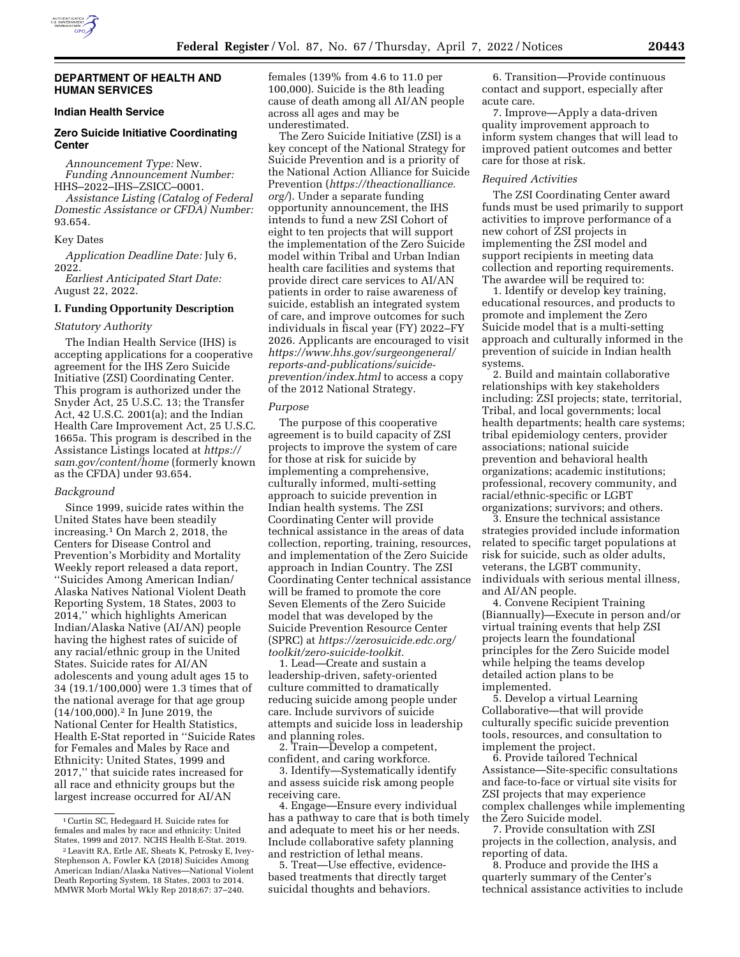

# **DEPARTMENT OF HEALTH AND HUMAN SERVICES**

# **Indian Health Service**

# **Zero Suicide Initiative Coordinating Center**

*Announcement Type:* New. *Funding Announcement Number:*  HHS–2022–IHS–ZSICC–0001.

*Assistance Listing (Catalog of Federal Domestic Assistance or CFDA) Number:*  93.654.

## Key Dates

*Application Deadline Date:* July 6, 2022.

*Earliest Anticipated Start Date:*  August 22, 2022.

## **I. Funding Opportunity Description**

# *Statutory Authority*

The Indian Health Service (IHS) is accepting applications for a cooperative agreement for the IHS Zero Suicide Initiative (ZSI) Coordinating Center. This program is authorized under the Snyder Act, 25 U.S.C. 13; the Transfer Act, 42 U.S.C. 2001(a); and the Indian Health Care Improvement Act, 25 U.S.C. 1665a. This program is described in the Assistance Listings located at *[https://](https://sam.gov/content/home) [sam.gov/content/home](https://sam.gov/content/home)* (formerly known as the CFDA) under 93.654.

#### *Background*

Since 1999, suicide rates within the United States have been steadily increasing.1 On March 2, 2018, the Centers for Disease Control and Prevention's Morbidity and Mortality Weekly report released a data report, ''Suicides Among American Indian/ Alaska Natives National Violent Death Reporting System, 18 States, 2003 to 2014,'' which highlights American Indian/Alaska Native (AI/AN) people having the highest rates of suicide of any racial/ethnic group in the United States. Suicide rates for AI/AN adolescents and young adult ages 15 to 34 (19.1/100,000) were 1.3 times that of the national average for that age group (14/100,000).2 In June 2019, the National Center for Health Statistics, Health E-Stat reported in ''Suicide Rates for Females and Males by Race and Ethnicity: United States, 1999 and 2017,'' that suicide rates increased for all race and ethnicity groups but the largest increase occurred for AI/AN

females (139% from 4.6 to 11.0 per 100,000). Suicide is the 8th leading cause of death among all AI/AN people across all ages and may be underestimated.

The Zero Suicide Initiative (ZSI) is a key concept of the National Strategy for Suicide Prevention and is a priority of the National Action Alliance for Suicide Prevention (*[https://theactionalliance.](https://theactionalliance.org/) [org/](https://theactionalliance.org/)*). Under a separate funding opportunity announcement, the IHS intends to fund a new ZSI Cohort of eight to ten projects that will support the implementation of the Zero Suicide model within Tribal and Urban Indian health care facilities and systems that provide direct care services to AI/AN patients in order to raise awareness of suicide, establish an integrated system of care, and improve outcomes for such individuals in fiscal year (FY) 2022–FY 2026. Applicants are encouraged to visit *[https://www.hhs.gov/surgeongeneral/](https://www.hhs.gov/surgeongeneral/reports-and-publications/suicide-prevention/index.html) [reports-and-publications/suicide](https://www.hhs.gov/surgeongeneral/reports-and-publications/suicide-prevention/index.html)[prevention/index.html](https://www.hhs.gov/surgeongeneral/reports-and-publications/suicide-prevention/index.html)* to access a copy of the 2012 National Strategy.

## *Purpose*

The purpose of this cooperative agreement is to build capacity of ZSI projects to improve the system of care for those at risk for suicide by implementing a comprehensive, culturally informed, multi-setting approach to suicide prevention in Indian health systems. The ZSI Coordinating Center will provide technical assistance in the areas of data collection, reporting, training, resources, and implementation of the Zero Suicide approach in Indian Country. The ZSI Coordinating Center technical assistance will be framed to promote the core Seven Elements of the Zero Suicide model that was developed by the Suicide Prevention Resource Center (SPRC) at *[https://zerosuicide.edc.org/](https://zerosuicide.edc.org/toolkit/zero-suicide-toolkit) [toolkit/zero-suicide-toolkit.](https://zerosuicide.edc.org/toolkit/zero-suicide-toolkit)* 

1. Lead—Create and sustain a leadership-driven, safety-oriented culture committed to dramatically reducing suicide among people under care. Include survivors of suicide attempts and suicide loss in leadership and planning roles.

2. Train—Develop a competent, confident, and caring workforce.

3. Identify—Systematically identify and assess suicide risk among people receiving care.

4. Engage—Ensure every individual has a pathway to care that is both timely and adequate to meet his or her needs. Include collaborative safety planning and restriction of lethal means.

5. Treat—Use effective, evidencebased treatments that directly target suicidal thoughts and behaviors.

6. Transition—Provide continuous contact and support, especially after acute care.

7. Improve—Apply a data-driven quality improvement approach to inform system changes that will lead to improved patient outcomes and better care for those at risk.

#### *Required Activities*

The ZSI Coordinating Center award funds must be used primarily to support activities to improve performance of a new cohort of ZSI projects in implementing the ZSI model and support recipients in meeting data collection and reporting requirements. The awardee will be required to:

1. Identify or develop key training, educational resources, and products to promote and implement the Zero Suicide model that is a multi-setting approach and culturally informed in the prevention of suicide in Indian health systems.

2. Build and maintain collaborative relationships with key stakeholders including: ZSI projects; state, territorial, Tribal, and local governments; local health departments; health care systems; tribal epidemiology centers, provider associations; national suicide prevention and behavioral health organizations; academic institutions; professional, recovery community, and racial/ethnic-specific or LGBT organizations; survivors; and others.

3. Ensure the technical assistance strategies provided include information related to specific target populations at risk for suicide, such as older adults, veterans, the LGBT community, individuals with serious mental illness, and AI/AN people.

4. Convene Recipient Training (Biannually)—Execute in person and/or virtual training events that help ZSI projects learn the foundational principles for the Zero Suicide model while helping the teams develop detailed action plans to be implemented.

5. Develop a virtual Learning Collaborative—that will provide culturally specific suicide prevention tools, resources, and consultation to implement the project.

6. Provide tailored Technical Assistance—Site-specific consultations and face-to-face or virtual site visits for ZSI projects that may experience complex challenges while implementing the Zero Suicide model.

7. Provide consultation with ZSI projects in the collection, analysis, and reporting of data.

8. Produce and provide the IHS a quarterly summary of the Center's technical assistance activities to include

<sup>1</sup>Curtin SC, Hedegaard H. Suicide rates for females and males by race and ethnicity: United States, 1999 and 2017. NCHS Health E-Stat. 2019.

<sup>2</sup>Leavitt RA, Ertle AE, Sheats K, Petrosky E, Ivey-Stephenson A, Fowler KA (2018) Suicides Among American Indian/Alaska Natives—National Violent Death Reporting System, 18 States, 2003 to 2014. MMWR Morb Mortal Wkly Rep 2018;67: 37–240.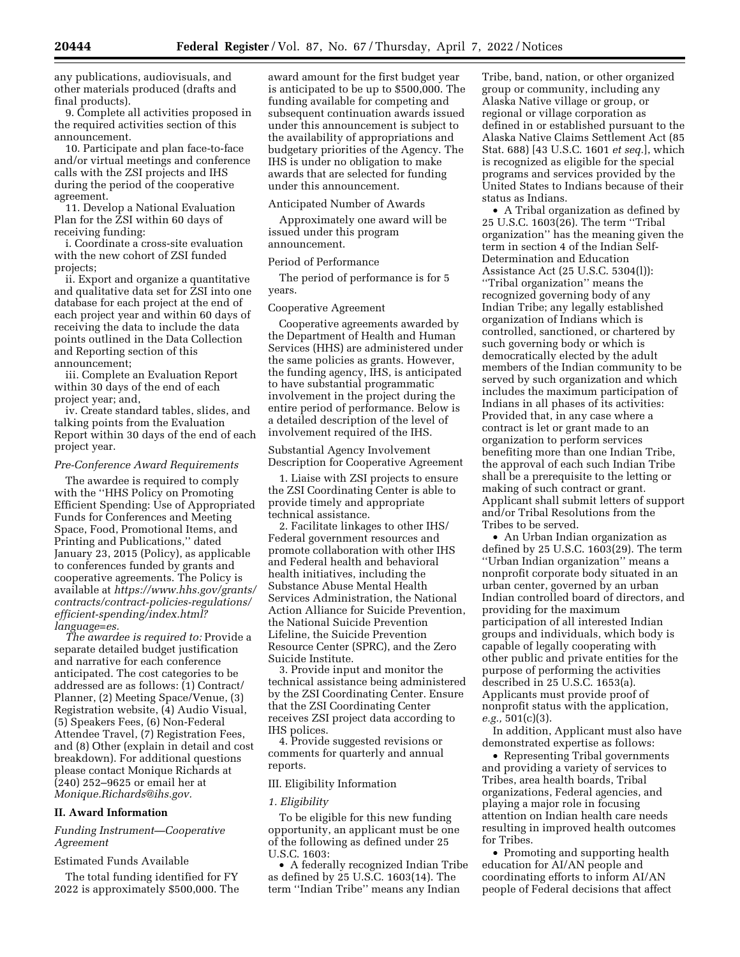any publications, audiovisuals, and other materials produced (drafts and final products).

9. Complete all activities proposed in the required activities section of this announcement.

10. Participate and plan face-to-face and/or virtual meetings and conference calls with the ZSI projects and IHS during the period of the cooperative agreement.

11. Develop a National Evaluation Plan for the ZSI within 60 days of receiving funding:

i. Coordinate a cross-site evaluation with the new cohort of ZSI funded projects;

ii. Export and organize a quantitative and qualitative data set for ZSI into one database for each project at the end of each project year and within 60 days of receiving the data to include the data points outlined in the Data Collection and Reporting section of this announcement;

iii. Complete an Evaluation Report within 30 days of the end of each project year; and,

iv. Create standard tables, slides, and talking points from the Evaluation Report within 30 days of the end of each project year.

## *Pre-Conference Award Requirements*

The awardee is required to comply with the ''HHS Policy on Promoting Efficient Spending: Use of Appropriated Funds for Conferences and Meeting Space, Food, Promotional Items, and Printing and Publications,'' dated January 23, 2015 (Policy), as applicable to conferences funded by grants and cooperative agreements. The Policy is available at *[https://www.hhs.gov/grants/](https://www.hhs.gov/grants/contracts/contract-policies-regulations/efficient-spending/index.html?language=es) [contracts/contract-policies-regulations/](https://www.hhs.gov/grants/contracts/contract-policies-regulations/efficient-spending/index.html?language=es) [efficient-spending/index.html?](https://www.hhs.gov/grants/contracts/contract-policies-regulations/efficient-spending/index.html?language=es) [language=es.](https://www.hhs.gov/grants/contracts/contract-policies-regulations/efficient-spending/index.html?language=es)* 

*The awardee is required to:* Provide a separate detailed budget justification and narrative for each conference anticipated. The cost categories to be addressed are as follows: (1) Contract/ Planner, (2) Meeting Space/Venue, (3) Registration website, (4) Audio Visual, (5) Speakers Fees, (6) Non-Federal Attendee Travel, (7) Registration Fees, and (8) Other (explain in detail and cost breakdown). For additional questions please contact Monique Richards at (240) 252–9625 or email her at *[Monique.Richards@ihs.gov.](mailto:Monique.Richards@ihs.gov)* 

# **II. Award Information**

*Funding Instrument—Cooperative Agreement* 

Estimated Funds Available

The total funding identified for FY 2022 is approximately \$500,000. The award amount for the first budget year is anticipated to be up to \$500,000. The funding available for competing and subsequent continuation awards issued under this announcement is subject to the availability of appropriations and budgetary priorities of the Agency. The IHS is under no obligation to make awards that are selected for funding under this announcement.

# Anticipated Number of Awards

Approximately one award will be issued under this program announcement.

#### Period of Performance

The period of performance is for 5 years.

#### Cooperative Agreement

Cooperative agreements awarded by the Department of Health and Human Services (HHS) are administered under the same policies as grants. However, the funding agency, IHS, is anticipated to have substantial programmatic involvement in the project during the entire period of performance. Below is a detailed description of the level of involvement required of the IHS.

Substantial Agency Involvement Description for Cooperative Agreement

1. Liaise with ZSI projects to ensure the ZSI Coordinating Center is able to provide timely and appropriate technical assistance.

2. Facilitate linkages to other IHS/ Federal government resources and promote collaboration with other IHS and Federal health and behavioral health initiatives, including the Substance Abuse Mental Health Services Administration, the National Action Alliance for Suicide Prevention, the National Suicide Prevention Lifeline, the Suicide Prevention Resource Center (SPRC), and the Zero Suicide Institute.

3. Provide input and monitor the technical assistance being administered by the ZSI Coordinating Center. Ensure that the ZSI Coordinating Center receives ZSI project data according to IHS polices.

4. Provide suggested revisions or comments for quarterly and annual reports.

# III. Eligibility Information

# *1. Eligibility*

To be eligible for this new funding opportunity, an applicant must be one of the following as defined under 25 U.S.C. 1603:

• A federally recognized Indian Tribe as defined by 25 U.S.C. 1603(14). The term ''Indian Tribe'' means any Indian

Tribe, band, nation, or other organized group or community, including any Alaska Native village or group, or regional or village corporation as defined in or established pursuant to the Alaska Native Claims Settlement Act (85 Stat. 688) [43 U.S.C. 1601 *et seq.*], which is recognized as eligible for the special programs and services provided by the United States to Indians because of their status as Indians.

• A Tribal organization as defined by 25 U.S.C. 1603(26). The term ''Tribal organization'' has the meaning given the term in section 4 of the Indian Self-Determination and Education Assistance Act (25 U.S.C. 5304(l)): ''Tribal organization'' means the recognized governing body of any Indian Tribe; any legally established organization of Indians which is controlled, sanctioned, or chartered by such governing body or which is democratically elected by the adult members of the Indian community to be served by such organization and which includes the maximum participation of Indians in all phases of its activities: Provided that, in any case where a contract is let or grant made to an organization to perform services benefiting more than one Indian Tribe, the approval of each such Indian Tribe shall be a prerequisite to the letting or making of such contract or grant. Applicant shall submit letters of support and/or Tribal Resolutions from the Tribes to be served.

• An Urban Indian organization as defined by 25 U.S.C. 1603(29). The term ''Urban Indian organization'' means a nonprofit corporate body situated in an urban center, governed by an urban Indian controlled board of directors, and providing for the maximum participation of all interested Indian groups and individuals, which body is capable of legally cooperating with other public and private entities for the purpose of performing the activities described in 25 U.S.C. 1653(a). Applicants must provide proof of nonprofit status with the application, *e.g.,* 501(c)(3).

In addition, Applicant must also have demonstrated expertise as follows:

• Representing Tribal governments and providing a variety of services to Tribes, area health boards, Tribal organizations, Federal agencies, and playing a major role in focusing attention on Indian health care needs resulting in improved health outcomes for Tribes.

• Promoting and supporting health education for AI/AN people and coordinating efforts to inform AI/AN people of Federal decisions that affect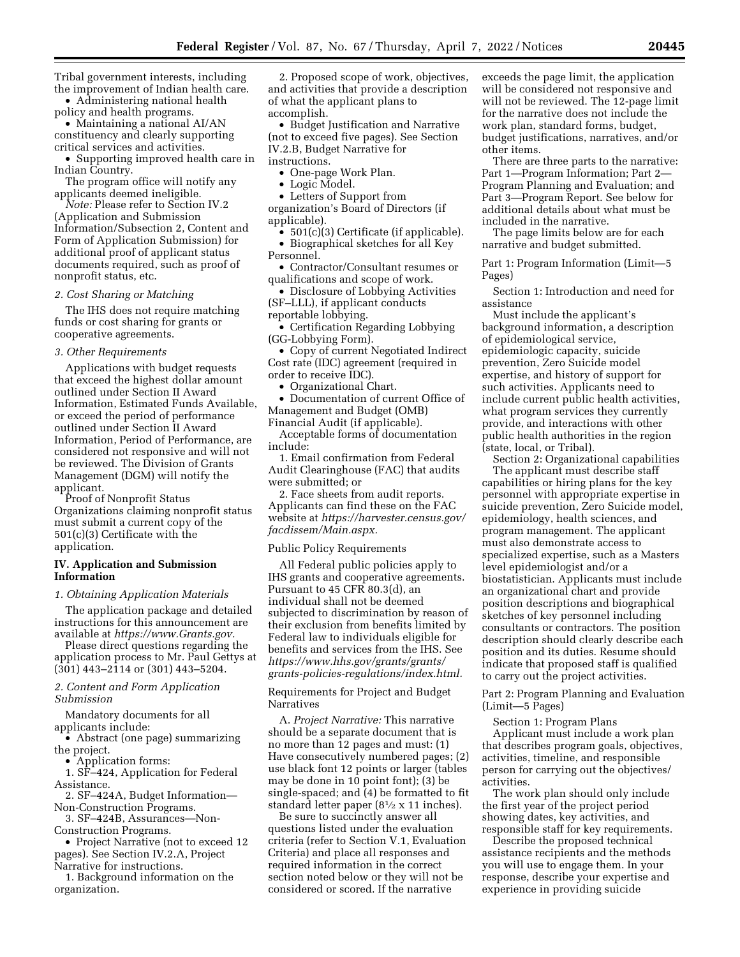Tribal government interests, including the improvement of Indian health care. • Administering national health

policy and health programs.

• Maintaining a national AI/AN constituency and clearly supporting critical services and activities.

• Supporting improved health care in Indian Country.

The program office will notify any applicants deemed ineligible.

*Note:* Please refer to Section IV.2 (Application and Submission Information/Subsection 2, Content and Form of Application Submission) for additional proof of applicant status documents required, such as proof of nonprofit status, etc.

#### *2. Cost Sharing or Matching*

The IHS does not require matching funds or cost sharing for grants or cooperative agreements.

## *3. Other Requirements*

Applications with budget requests that exceed the highest dollar amount outlined under Section II Award Information, Estimated Funds Available, or exceed the period of performance outlined under Section II Award Information, Period of Performance, are considered not responsive and will not be reviewed. The Division of Grants Management (DGM) will notify the applicant.

Proof of Nonprofit Status Organizations claiming nonprofit status must submit a current copy of the 501(c)(3) Certificate with the application.

# **IV. Application and Submission Information**

## *1. Obtaining Application Materials*

The application package and detailed instructions for this announcement are available at *[https://www.Grants.gov.](https://www.Grants.gov)* 

Please direct questions regarding the application process to Mr. Paul Gettys at (301) 443–2114 or (301) 443–5204.

*2. Content and Form Application Submission* 

Mandatory documents for all applicants include:

• Abstract (one page) summarizing the project.

• Application forms:

1. SF–424, Application for Federal Assistance.

2. SF–424A, Budget Information— Non-Construction Programs.

3. SF–424B, Assurances—Non-Construction Programs.

• Project Narrative (not to exceed 12 pages). See Section IV.2.A, Project Narrative for instructions.

1. Background information on the organization.

2. Proposed scope of work, objectives, and activities that provide a description of what the applicant plans to accomplish.

• Budget Justification and Narrative (not to exceed five pages). See Section IV.2.B, Budget Narrative for instructions.

• One-page Work Plan.

Logic Model.

• Letters of Support from

organization's Board of Directors (if applicable).

• 501(c)(3) Certificate (if applicable). • Biographical sketches for all Key Personnel.

• Contractor/Consultant resumes or qualifications and scope of work.

• Disclosure of Lobbying Activities (SF–LLL), if applicant conducts reportable lobbying.

• Certification Regarding Lobbying (GG-Lobbying Form).

• Copy of current Negotiated Indirect Cost rate (IDC) agreement (required in order to receive IDC).

• Organizational Chart.

• Documentation of current Office of Management and Budget (OMB) Financial Audit (if applicable).

Acceptable forms of documentation include:

1. Email confirmation from Federal Audit Clearinghouse (FAC) that audits were submitted; or

2. Face sheets from audit reports. Applicants can find these on the FAC website at *[https://harvester.census.gov/](https://harvester.census.gov/facdissem/Main.aspx) [facdissem/Main.aspx.](https://harvester.census.gov/facdissem/Main.aspx)* 

#### Public Policy Requirements

All Federal public policies apply to IHS grants and cooperative agreements. Pursuant to 45 CFR 80.3(d), an individual shall not be deemed subjected to discrimination by reason of their exclusion from benefits limited by Federal law to individuals eligible for benefits and services from the IHS. See *[https://www.hhs.gov/grants/grants/](https://www.hhs.gov/grants/grants/grants-policies-regulations/index.html)  [grants-policies-regulations/index.html.](https://www.hhs.gov/grants/grants/grants-policies-regulations/index.html)* 

Requirements for Project and Budget Narratives

A. *Project Narrative:* This narrative should be a separate document that is no more than 12 pages and must: (1) Have consecutively numbered pages; (2) use black font 12 points or larger (tables may be done in 10 point font); (3) be single-spaced; and (4) be formatted to fit standard letter paper  $(8<sup>1</sup>/<sub>2</sub> x 11$  inches).

Be sure to succinctly answer all questions listed under the evaluation criteria (refer to Section V.1, Evaluation Criteria) and place all responses and required information in the correct section noted below or they will not be considered or scored. If the narrative

exceeds the page limit, the application will be considered not responsive and will not be reviewed. The 12-page limit for the narrative does not include the work plan, standard forms, budget, budget justifications, narratives, and/or other items.

There are three parts to the narrative: Part 1—Program Information; Part 2— Program Planning and Evaluation; and Part 3—Program Report. See below for additional details about what must be included in the narrative.

The page limits below are for each narrative and budget submitted.

Part 1: Program Information (Limit—5 Pages)

Section 1: Introduction and need for assistance

Must include the applicant's background information, a description of epidemiological service, epidemiologic capacity, suicide prevention, Zero Suicide model expertise, and history of support for such activities. Applicants need to include current public health activities, what program services they currently provide, and interactions with other public health authorities in the region (state, local, or Tribal).

Section 2: Organizational capabilities The applicant must describe staff capabilities or hiring plans for the key personnel with appropriate expertise in suicide prevention, Zero Suicide model, epidemiology, health sciences, and program management. The applicant must also demonstrate access to specialized expertise, such as a Masters level epidemiologist and/or a biostatistician. Applicants must include an organizational chart and provide position descriptions and biographical sketches of key personnel including consultants or contractors. The position description should clearly describe each position and its duties. Resume should indicate that proposed staff is qualified to carry out the project activities.

Part 2: Program Planning and Evaluation (Limit—5 Pages)

Section 1: Program Plans Applicant must include a work plan that describes program goals, objectives, activities, timeline, and responsible person for carrying out the objectives/ activities.

The work plan should only include the first year of the project period showing dates, key activities, and responsible staff for key requirements.

Describe the proposed technical assistance recipients and the methods you will use to engage them. In your response, describe your expertise and experience in providing suicide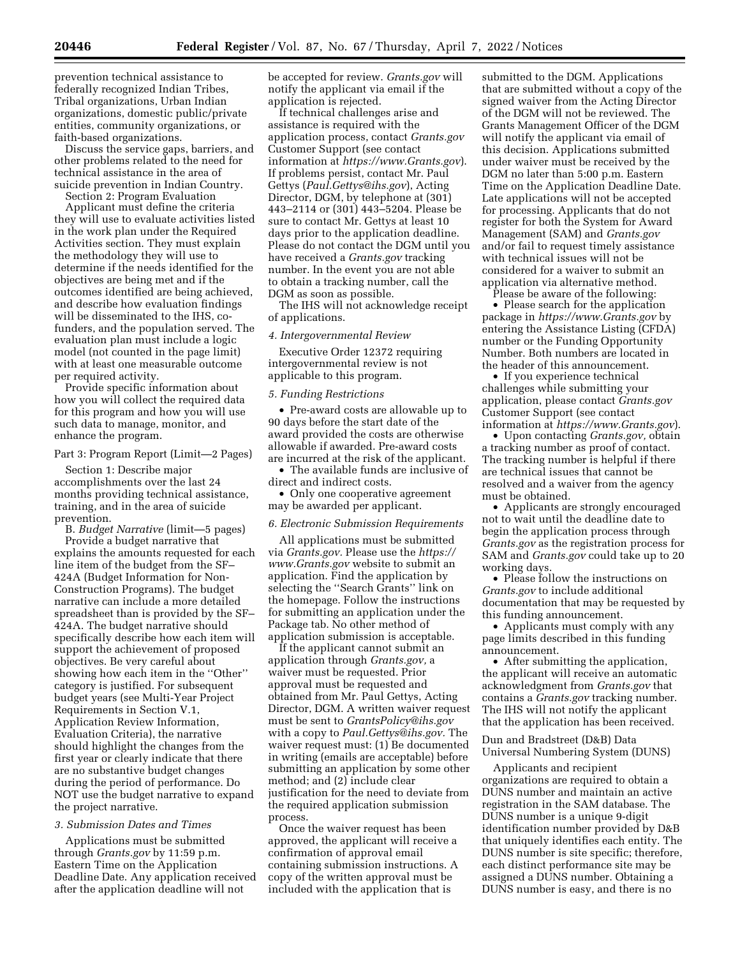prevention technical assistance to federally recognized Indian Tribes, Tribal organizations, Urban Indian organizations, domestic public/private entities, community organizations, or faith-based organizations.

Discuss the service gaps, barriers, and other problems related to the need for technical assistance in the area of suicide prevention in Indian Country.

Section 2: Program Evaluation

Applicant must define the criteria they will use to evaluate activities listed in the work plan under the Required Activities section. They must explain the methodology they will use to determine if the needs identified for the objectives are being met and if the outcomes identified are being achieved, and describe how evaluation findings will be disseminated to the IHS, cofunders, and the population served. The evaluation plan must include a logic model (not counted in the page limit) with at least one measurable outcome per required activity.

Provide specific information about how you will collect the required data for this program and how you will use such data to manage, monitor, and enhance the program.

Part 3: Program Report (Limit—2 Pages)

Section 1: Describe major accomplishments over the last 24 months providing technical assistance, training, and in the area of suicide prevention.

B. *Budget Narrative* (limit—5 pages)

Provide a budget narrative that explains the amounts requested for each line item of the budget from the SF– 424A (Budget Information for Non-Construction Programs). The budget narrative can include a more detailed spreadsheet than is provided by the SF– 424A. The budget narrative should specifically describe how each item will support the achievement of proposed objectives. Be very careful about showing how each item in the ''Other'' category is justified. For subsequent budget years (see Multi-Year Project Requirements in Section V.1, Application Review Information, Evaluation Criteria), the narrative should highlight the changes from the first year or clearly indicate that there are no substantive budget changes during the period of performance. Do NOT use the budget narrative to expand the project narrative.

#### *3. Submission Dates and Times*

Applications must be submitted through *Grants.gov* by 11:59 p.m. Eastern Time on the Application Deadline Date. Any application received after the application deadline will not

be accepted for review. *Grants.gov* will notify the applicant via email if the application is rejected.

If technical challenges arise and assistance is required with the application process, contact *Grants.gov*  Customer Support (see contact information at *<https://www.Grants.gov>*). If problems persist, contact Mr. Paul Gettys (*[Paul.Gettys@ihs.gov](mailto:Paul.Gettys@ihs.gov)*), Acting Director, DGM, by telephone at (301) 443–2114 or (301) 443–5204. Please be sure to contact Mr. Gettys at least 10 days prior to the application deadline. Please do not contact the DGM until you have received a *Grants.gov* tracking number. In the event you are not able to obtain a tracking number, call the DGM as soon as possible.

The IHS will not acknowledge receipt of applications.

*4. Intergovernmental Review* 

Executive Order 12372 requiring intergovernmental review is not applicable to this program.

#### *5. Funding Restrictions*

• Pre-award costs are allowable up to 90 days before the start date of the award provided the costs are otherwise allowable if awarded. Pre-award costs are incurred at the risk of the applicant.

• The available funds are inclusive of direct and indirect costs.

• Only one cooperative agreement may be awarded per applicant.

## *6. Electronic Submission Requirements*

All applications must be submitted via *Grants.gov.* Please use the *[https://](https://www.Grants.gov) [www.Grants.gov](https://www.Grants.gov)* website to submit an application. Find the application by selecting the ''Search Grants'' link on the homepage. Follow the instructions for submitting an application under the Package tab. No other method of application submission is acceptable.

If the applicant cannot submit an application through *Grants.gov,* a waiver must be requested. Prior approval must be requested and obtained from Mr. Paul Gettys, Acting Director, DGM. A written waiver request must be sent to *[GrantsPolicy@ihs.gov](mailto:GrantsPolicy@ihs.gov)*  with a copy to *[Paul.Gettys@ihs.gov.](mailto:Paul.Gettys@ihs.gov)* The waiver request must: (1) Be documented in writing (emails are acceptable) before submitting an application by some other method; and (2) include clear justification for the need to deviate from the required application submission process.

Once the waiver request has been approved, the applicant will receive a confirmation of approval email containing submission instructions. A copy of the written approval must be included with the application that is

submitted to the DGM. Applications that are submitted without a copy of the signed waiver from the Acting Director of the DGM will not be reviewed. The Grants Management Officer of the DGM will notify the applicant via email of this decision. Applications submitted under waiver must be received by the DGM no later than 5:00 p.m. Eastern Time on the Application Deadline Date. Late applications will not be accepted for processing. Applicants that do not register for both the System for Award Management (SAM) and *Grants.gov*  and/or fail to request timely assistance with technical issues will not be considered for a waiver to submit an application via alternative method.

Please be aware of the following: • Please search for the application package in *<https://www.Grants.gov>* by entering the Assistance Listing (CFDA) number or the Funding Opportunity Number. Both numbers are located in the header of this announcement.

• If you experience technical challenges while submitting your application, please contact *Grants.gov*  Customer Support (see contact information at *<https://www.Grants.gov>*).

• Upon contacting *Grants.gov,* obtain a tracking number as proof of contact. The tracking number is helpful if there are technical issues that cannot be resolved and a waiver from the agency must be obtained.

• Applicants are strongly encouraged not to wait until the deadline date to begin the application process through *Grants.gov* as the registration process for SAM and *Grants.gov* could take up to 20 working days.

• Please follow the instructions on *Grants.gov* to include additional documentation that may be requested by this funding announcement.

• Applicants must comply with any page limits described in this funding announcement.

• After submitting the application, the applicant will receive an automatic acknowledgment from *Grants.gov* that contains a *Grants.gov* tracking number. The IHS will not notify the applicant that the application has been received.

Dun and Bradstreet (D&B) Data Universal Numbering System (DUNS)

Applicants and recipient organizations are required to obtain a DUNS number and maintain an active registration in the SAM database. The DUNS number is a unique 9-digit identification number provided by D&B that uniquely identifies each entity. The DUNS number is site specific; therefore, each distinct performance site may be assigned a DUNS number. Obtaining a DUNS number is easy, and there is no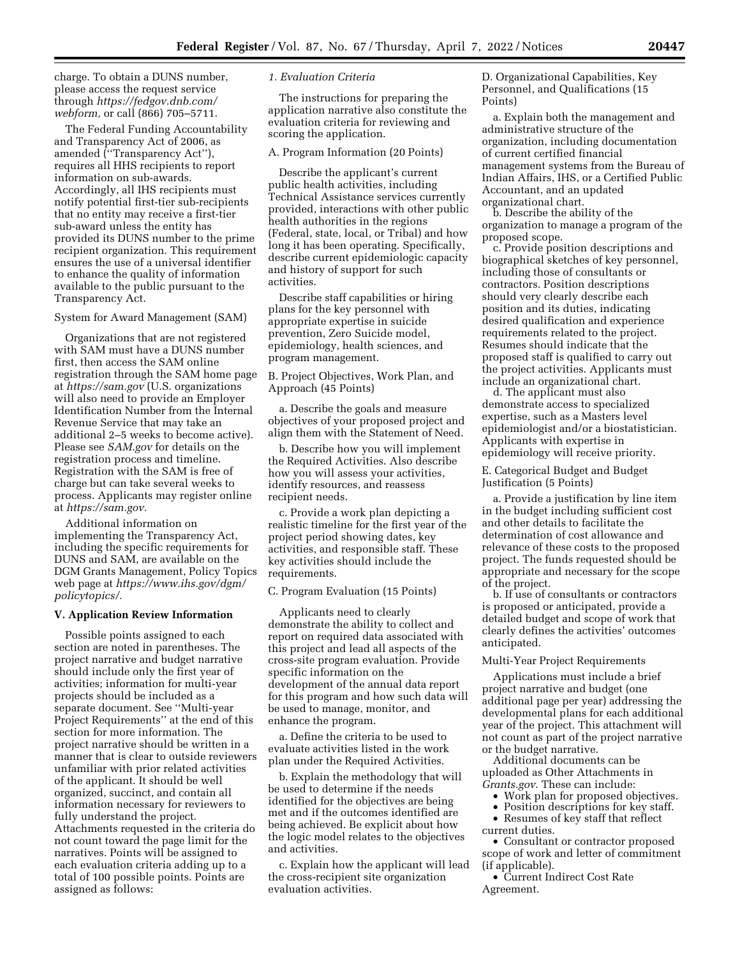charge. To obtain a DUNS number, please access the request service through *[https://fedgov.dnb.com/](https://fedgov.dnb.com/webform)  [webform,](https://fedgov.dnb.com/webform)* or call (866) 705–5711.

The Federal Funding Accountability and Transparency Act of 2006, as amended (''Transparency Act''), requires all HHS recipients to report information on sub-awards. Accordingly, all IHS recipients must notify potential first-tier sub-recipients that no entity may receive a first-tier sub-award unless the entity has provided its DUNS number to the prime recipient organization. This requirement ensures the use of a universal identifier to enhance the quality of information available to the public pursuant to the Transparency Act.

## System for Award Management (SAM)

Organizations that are not registered with SAM must have a DUNS number first, then access the SAM online registration through the SAM home page at *<https://sam.gov>* (U.S. organizations will also need to provide an Employer Identification Number from the Internal Revenue Service that may take an additional 2–5 weeks to become active). Please see *SAM.gov* for details on the registration process and timeline. Registration with the SAM is free of charge but can take several weeks to process. Applicants may register online at *[https://sam.gov.](https://sam.gov)* 

Additional information on implementing the Transparency Act, including the specific requirements for DUNS and SAM, are available on the DGM Grants Management, Policy Topics web page at *[https://www.ihs.gov/dgm/](https://www.ihs.gov/dgm/policytopics/) [policytopics/.](https://www.ihs.gov/dgm/policytopics/)* 

#### **V. Application Review Information**

Possible points assigned to each section are noted in parentheses. The project narrative and budget narrative should include only the first year of activities; information for multi-year projects should be included as a separate document. See ''Multi-year Project Requirements'' at the end of this section for more information. The project narrative should be written in a manner that is clear to outside reviewers unfamiliar with prior related activities of the applicant. It should be well organized, succinct, and contain all information necessary for reviewers to fully understand the project. Attachments requested in the criteria do not count toward the page limit for the narratives. Points will be assigned to each evaluation criteria adding up to a total of 100 possible points. Points are assigned as follows:

# *1. Evaluation Criteria*

The instructions for preparing the application narrative also constitute the evaluation criteria for reviewing and scoring the application.

# A. Program Information (20 Points)

Describe the applicant's current public health activities, including Technical Assistance services currently provided, interactions with other public health authorities in the regions (Federal, state, local, or Tribal) and how long it has been operating. Specifically, describe current epidemiologic capacity and history of support for such activities.

Describe staff capabilities or hiring plans for the key personnel with appropriate expertise in suicide prevention, Zero Suicide model, epidemiology, health sciences, and program management.

B. Project Objectives, Work Plan, and Approach (45 Points)

a. Describe the goals and measure objectives of your proposed project and align them with the Statement of Need.

b. Describe how you will implement the Required Activities. Also describe how you will assess your activities, identify resources, and reassess recipient needs.

c. Provide a work plan depicting a realistic timeline for the first year of the project period showing dates, key activities, and responsible staff. These key activities should include the requirements.

## C. Program Evaluation (15 Points)

Applicants need to clearly demonstrate the ability to collect and report on required data associated with this project and lead all aspects of the cross-site program evaluation. Provide specific information on the development of the annual data report for this program and how such data will be used to manage, monitor, and enhance the program.

a. Define the criteria to be used to evaluate activities listed in the work plan under the Required Activities.

b. Explain the methodology that will be used to determine if the needs identified for the objectives are being met and if the outcomes identified are being achieved. Be explicit about how the logic model relates to the objectives and activities.

c. Explain how the applicant will lead the cross-recipient site organization evaluation activities.

D. Organizational Capabilities, Key Personnel, and Qualifications (15 Points)

a. Explain both the management and administrative structure of the organization, including documentation of current certified financial management systems from the Bureau of Indian Affairs, IHS, or a Certified Public Accountant, and an updated organizational chart.

b. Describe the ability of the organization to manage a program of the proposed scope.

c. Provide position descriptions and biographical sketches of key personnel, including those of consultants or contractors. Position descriptions should very clearly describe each position and its duties, indicating desired qualification and experience requirements related to the project. Resumes should indicate that the proposed staff is qualified to carry out the project activities. Applicants must include an organizational chart.

d. The applicant must also demonstrate access to specialized expertise, such as a Masters level epidemiologist and/or a biostatistician. Applicants with expertise in epidemiology will receive priority.

E. Categorical Budget and Budget Justification (5 Points)

a. Provide a justification by line item in the budget including sufficient cost and other details to facilitate the determination of cost allowance and relevance of these costs to the proposed project. The funds requested should be appropriate and necessary for the scope of the project.

b. If use of consultants or contractors is proposed or anticipated, provide a detailed budget and scope of work that clearly defines the activities' outcomes anticipated.

## Multi-Year Project Requirements

Applications must include a brief project narrative and budget (one additional page per year) addressing the developmental plans for each additional year of the project. This attachment will not count as part of the project narrative or the budget narrative.

Additional documents can be uploaded as Other Attachments in *Grants.gov*. These can include:

- Work plan for proposed objectives.
- Position descriptions for key staff.
- Resumes of key staff that reflect current duties.

• Consultant or contractor proposed scope of work and letter of commitment (if applicable).

• Current Indirect Cost Rate Agreement.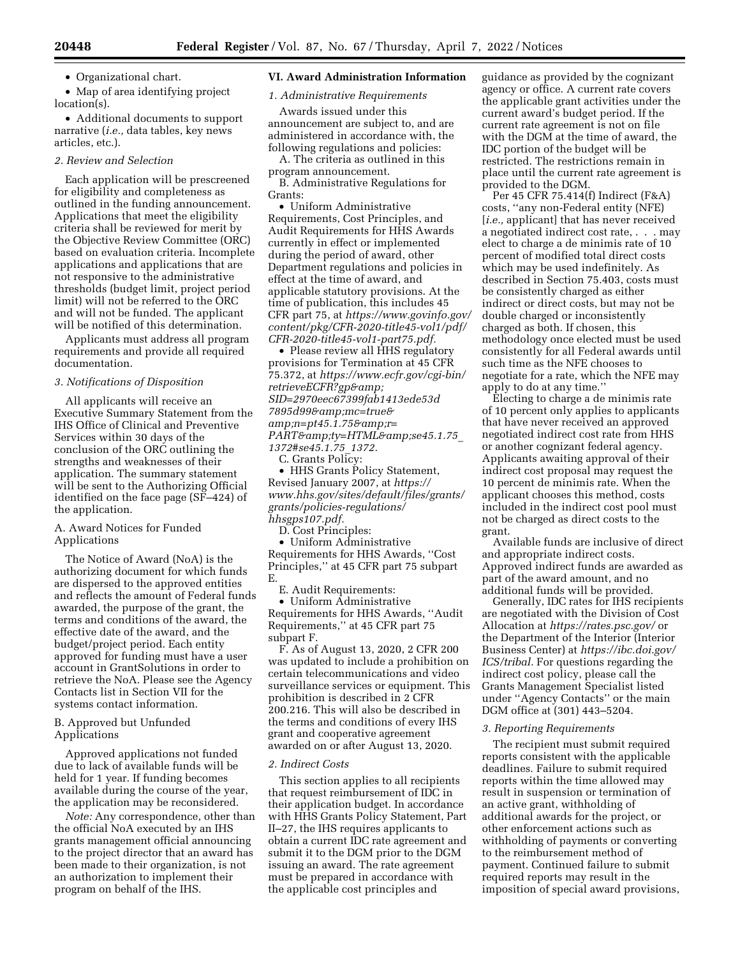• Organizational chart.

• Map of area identifying project location(s).

• Additional documents to support narrative (*i.e.,* data tables, key news articles, etc.).

# *2. Review and Selection*

Each application will be prescreened for eligibility and completeness as outlined in the funding announcement. Applications that meet the eligibility criteria shall be reviewed for merit by the Objective Review Committee (ORC) based on evaluation criteria. Incomplete applications and applications that are not responsive to the administrative thresholds (budget limit, project period limit) will not be referred to the ORC and will not be funded. The applicant will be notified of this determination.

Applicants must address all program requirements and provide all required documentation.

## *3. Notifications of Disposition*

All applicants will receive an Executive Summary Statement from the IHS Office of Clinical and Preventive Services within 30 days of the conclusion of the ORC outlining the strengths and weaknesses of their application. The summary statement will be sent to the Authorizing Official identified on the face page (SF–424) of the application.

A. Award Notices for Funded Applications

The Notice of Award (NoA) is the authorizing document for which funds are dispersed to the approved entities and reflects the amount of Federal funds awarded, the purpose of the grant, the terms and conditions of the award, the effective date of the award, and the budget/project period. Each entity approved for funding must have a user account in GrantSolutions in order to retrieve the NoA. Please see the Agency Contacts list in Section VII for the systems contact information.

B. Approved but Unfunded Applications

Approved applications not funded due to lack of available funds will be held for 1 year. If funding becomes available during the course of the year, the application may be reconsidered.

*Note:* Any correspondence, other than the official NoA executed by an IHS grants management official announcing to the project director that an award has been made to their organization, is not an authorization to implement their program on behalf of the IHS.

# **VI. Award Administration Information**

*1. Administrative Requirements* 

Awards issued under this announcement are subject to, and are administered in accordance with, the following regulations and policies:

A. The criteria as outlined in this program announcement.

B. Administrative Regulations for Grants:

• Uniform Administrative Requirements, Cost Principles, and Audit Requirements for HHS Awards currently in effect or implemented during the period of award, other Department regulations and policies in effect at the time of award, and applicable statutory provisions. At the time of publication, this includes 45 CFR part 75, at *[https://www.govinfo.gov/](https://www.govinfo.gov/content/pkg/CFR-2020-title45-vol1/pdf/CFR-2020-title45-vol1-part75.pdf) [content/pkg/CFR-2020-title45-vol1/pdf/](https://www.govinfo.gov/content/pkg/CFR-2020-title45-vol1/pdf/CFR-2020-title45-vol1-part75.pdf) [CFR-2020-title45-vol1-part75.pdf.](https://www.govinfo.gov/content/pkg/CFR-2020-title45-vol1/pdf/CFR-2020-title45-vol1-part75.pdf)* 

• Please review all HHS regulatory provisions for Termination at 45 CFR 75.372, at *[https://www.ecfr.gov/cgi-bin/](https://www.ecfr.gov/cgi-bin/retrieveECFR?gp&SID=2970eec67399fab1413ede53d7895d99&mc=true&n=pt45.1.75&r=PART&ty=HTML&se45.1.75_1372#se45.1.75_1372)  [retrieveECFR?gp&](https://www.ecfr.gov/cgi-bin/retrieveECFR?gp&SID=2970eec67399fab1413ede53d7895d99&mc=true&n=pt45.1.75&r=PART&ty=HTML&se45.1.75_1372#se45.1.75_1372) [SID=2970eec67399fab1413ede53d](https://www.ecfr.gov/cgi-bin/retrieveECFR?gp&SID=2970eec67399fab1413ede53d7895d99&mc=true&n=pt45.1.75&r=PART&ty=HTML&se45.1.75_1372#se45.1.75_1372) 7895d99&mc=true& [amp;n=pt45.1.75&r=](https://www.ecfr.gov/cgi-bin/retrieveECFR?gp&SID=2970eec67399fab1413ede53d7895d99&mc=true&n=pt45.1.75&r=PART&ty=HTML&se45.1.75_1372#se45.1.75_1372) [PART&ty=HTML&se45.1.75](https://www.ecfr.gov/cgi-bin/retrieveECFR?gp&SID=2970eec67399fab1413ede53d7895d99&mc=true&n=pt45.1.75&r=PART&ty=HTML&se45.1.75_1372#se45.1.75_1372)*\_ *[1372#se45.1.75](https://www.ecfr.gov/cgi-bin/retrieveECFR?gp&SID=2970eec67399fab1413ede53d7895d99&mc=true&n=pt45.1.75&r=PART&ty=HTML&se45.1.75_1372#se45.1.75_1372)*\_*1372.* 

C. Grants Policy:

• HHS Grants Policy Statement, Revised January 2007, at *[https://](https://www.hhs.gov/sites/default/files/grants/grants/policies-regulations/hhsgps107.pdf) [www.hhs.gov/sites/default/files/grants/](https://www.hhs.gov/sites/default/files/grants/grants/policies-regulations/hhsgps107.pdf) [grants/policies-regulations/](https://www.hhs.gov/sites/default/files/grants/grants/policies-regulations/hhsgps107.pdf)  [hhsgps107.pdf.](https://www.hhs.gov/sites/default/files/grants/grants/policies-regulations/hhsgps107.pdf)* 

D. Cost Principles:

• Uniform Administrative Requirements for HHS Awards, ''Cost Principles,'' at 45 CFR part 75 subpart E.

E. Audit Requirements:

• Uniform Administrative Requirements for HHS Awards, ''Audit Requirements,'' at 45 CFR part 75 subpart F.

F. As of August 13, 2020, 2 CFR 200 was updated to include a prohibition on certain telecommunications and video surveillance services or equipment. This prohibition is described in 2 CFR 200.216. This will also be described in the terms and conditions of every IHS grant and cooperative agreement awarded on or after August 13, 2020.

#### *2. Indirect Costs*

This section applies to all recipients that request reimbursement of IDC in their application budget. In accordance with HHS Grants Policy Statement, Part II–27, the IHS requires applicants to obtain a current IDC rate agreement and submit it to the DGM prior to the DGM issuing an award. The rate agreement must be prepared in accordance with the applicable cost principles and

guidance as provided by the cognizant agency or office. A current rate covers the applicable grant activities under the current award's budget period. If the current rate agreement is not on file with the DGM at the time of award, the IDC portion of the budget will be restricted. The restrictions remain in place until the current rate agreement is provided to the DGM.

Per 45 CFR 75.414(f) Indirect (F&A) costs, ''any non-Federal entity (NFE) [*i.e.*, applicant] that has never received a negotiated indirect cost rate, . . . may elect to charge a de minimis rate of 10 percent of modified total direct costs which may be used indefinitely. As described in Section 75.403, costs must be consistently charged as either indirect or direct costs, but may not be double charged or inconsistently charged as both. If chosen, this methodology once elected must be used consistently for all Federal awards until such time as the NFE chooses to negotiate for a rate, which the NFE may apply to do at any time.''

Electing to charge a de minimis rate of 10 percent only applies to applicants that have never received an approved negotiated indirect cost rate from HHS or another cognizant federal agency. Applicants awaiting approval of their indirect cost proposal may request the 10 percent de minimis rate. When the applicant chooses this method, costs included in the indirect cost pool must not be charged as direct costs to the grant.

Available funds are inclusive of direct and appropriate indirect costs. Approved indirect funds are awarded as part of the award amount, and no additional funds will be provided.

Generally, IDC rates for IHS recipients are negotiated with the Division of Cost Allocation at *<https://rates.psc.gov/>* or the Department of the Interior (Interior Business Center) at *[https://ibc.doi.gov/](https://ibc.doi.gov/ICS/tribal) [ICS/tribal.](https://ibc.doi.gov/ICS/tribal)* For questions regarding the indirect cost policy, please call the Grants Management Specialist listed under ''Agency Contacts'' or the main DGM office at (301) 443–5204.

# *3. Reporting Requirements*

The recipient must submit required reports consistent with the applicable deadlines. Failure to submit required reports within the time allowed may result in suspension or termination of an active grant, withholding of additional awards for the project, or other enforcement actions such as withholding of payments or converting to the reimbursement method of payment. Continued failure to submit required reports may result in the imposition of special award provisions,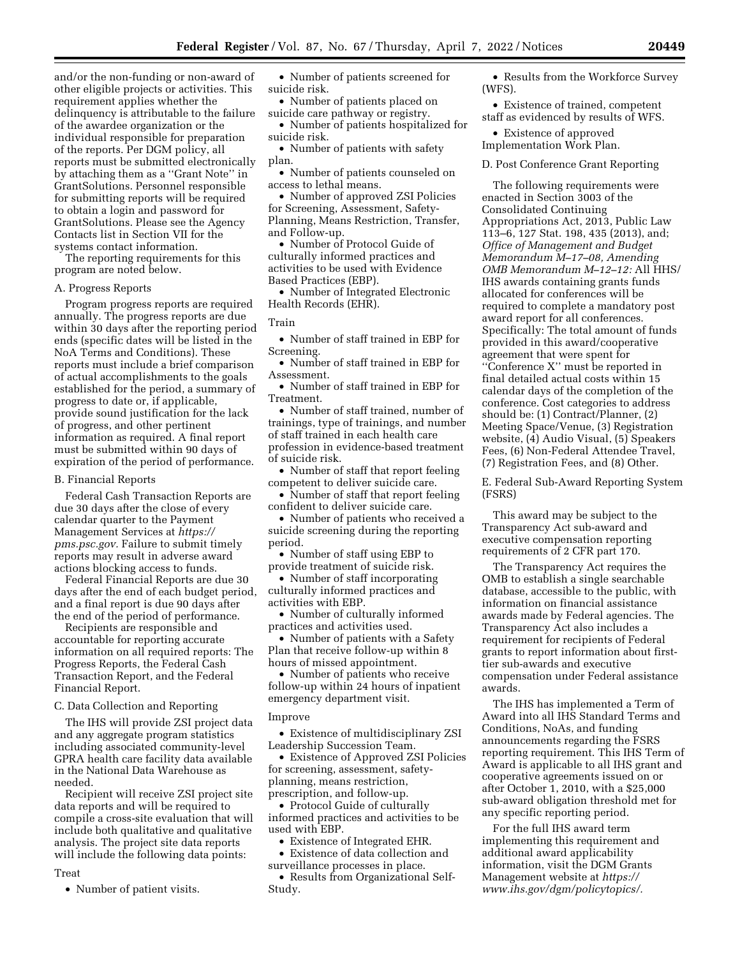and/or the non-funding or non-award of other eligible projects or activities. This requirement applies whether the delinquency is attributable to the failure of the awardee organization or the individual responsible for preparation of the reports. Per DGM policy, all reports must be submitted electronically by attaching them as a ''Grant Note'' in GrantSolutions. Personnel responsible for submitting reports will be required to obtain a login and password for GrantSolutions. Please see the Agency Contacts list in Section VII for the systems contact information.

The reporting requirements for this program are noted below.

## A. Progress Reports

Program progress reports are required annually. The progress reports are due within 30 days after the reporting period ends (specific dates will be listed in the NoA Terms and Conditions). These reports must include a brief comparison of actual accomplishments to the goals established for the period, a summary of progress to date or, if applicable, provide sound justification for the lack of progress, and other pertinent information as required. A final report must be submitted within 90 days of expiration of the period of performance.

## B. Financial Reports

Federal Cash Transaction Reports are due 30 days after the close of every calendar quarter to the Payment Management Services at *[https://](https://pms.psc.gov) [pms.psc.gov.](https://pms.psc.gov)* Failure to submit timely reports may result in adverse award actions blocking access to funds.

Federal Financial Reports are due 30 days after the end of each budget period, and a final report is due 90 days after the end of the period of performance.

Recipients are responsible and accountable for reporting accurate information on all required reports: The Progress Reports, the Federal Cash Transaction Report, and the Federal Financial Report.

## C. Data Collection and Reporting

The IHS will provide ZSI project data and any aggregate program statistics including associated community-level GPRA health care facility data available in the National Data Warehouse as needed.

Recipient will receive ZSI project site data reports and will be required to compile a cross-site evaluation that will include both qualitative and qualitative analysis. The project site data reports will include the following data points:

## Treat

• Number of patient visits.

• Number of patients screened for suicide risk.

• Number of patients placed on suicide care pathway or registry.

• Number of patients hospitalized for suicide risk.

• Number of patients with safety plan.

• Number of patients counseled on access to lethal means.

• Number of approved ZSI Policies for Screening, Assessment, Safety-Planning, Means Restriction, Transfer, and Follow-up.

• Number of Protocol Guide of culturally informed practices and activities to be used with Evidence Based Practices (EBP).

• Number of Integrated Electronic Health Records (EHR).

#### Train

• Number of staff trained in EBP for Screening.

• Number of staff trained in EBP for Assessment.

• Number of staff trained in EBP for Treatment.

• Number of staff trained, number of trainings, type of trainings, and number of staff trained in each health care profession in evidence-based treatment of suicide risk.

• Number of staff that report feeling competent to deliver suicide care.

• Number of staff that report feeling confident to deliver suicide care.

• Number of patients who received a suicide screening during the reporting period.

• Number of staff using EBP to provide treatment of suicide risk.

• Number of staff incorporating culturally informed practices and activities with EBP.

• Number of culturally informed practices and activities used.

• Number of patients with a Safety Plan that receive follow-up within 8 hours of missed appointment.

• Number of patients who receive follow-up within 24 hours of inpatient emergency department visit.

## Improve

• Existence of multidisciplinary ZSI Leadership Succession Team.

• Existence of Approved ZSI Policies for screening, assessment, safetyplanning, means restriction, prescription, and follow-up.

• Protocol Guide of culturally informed practices and activities to be used with EBP.

• Existence of Integrated EHR.

• Existence of data collection and surveillance processes in place.

• Results from Organizational Self-Study.

• Results from the Workforce Survey (WFS).

• Existence of trained, competent staff as evidenced by results of WFS.

• Existence of approved Implementation Work Plan.

# D. Post Conference Grant Reporting

The following requirements were enacted in Section 3003 of the Consolidated Continuing Appropriations Act, 2013, Public Law 113–6, 127 Stat. 198, 435 (2013), and; *Office of Management and Budget Memorandum M–17–08, Amending OMB Memorandum M–12–12:* All HHS/ IHS awards containing grants funds allocated for conferences will be required to complete a mandatory post award report for all conferences. Specifically: The total amount of funds provided in this award/cooperative agreement that were spent for ''Conference X'' must be reported in final detailed actual costs within 15 calendar days of the completion of the conference. Cost categories to address should be: (1) Contract/Planner, (2) Meeting Space/Venue, (3) Registration website, (4) Audio Visual, (5) Speakers Fees, (6) Non-Federal Attendee Travel, (7) Registration Fees, and (8) Other.

E. Federal Sub-Award Reporting System (FSRS)

This award may be subject to the Transparency Act sub-award and executive compensation reporting requirements of 2 CFR part 170.

The Transparency Act requires the OMB to establish a single searchable database, accessible to the public, with information on financial assistance awards made by Federal agencies. The Transparency Act also includes a requirement for recipients of Federal grants to report information about firsttier sub-awards and executive compensation under Federal assistance awards.

The IHS has implemented a Term of Award into all IHS Standard Terms and Conditions, NoAs, and funding announcements regarding the FSRS reporting requirement. This IHS Term of Award is applicable to all IHS grant and cooperative agreements issued on or after October 1, 2010, with a \$25,000 sub-award obligation threshold met for any specific reporting period.

For the full IHS award term implementing this requirement and additional award applicability information, visit the DGM Grants Management website at *[https://](https://www.ihs.gov/dgm/policytopics/) [www.ihs.gov/dgm/policytopics/.](https://www.ihs.gov/dgm/policytopics/)*